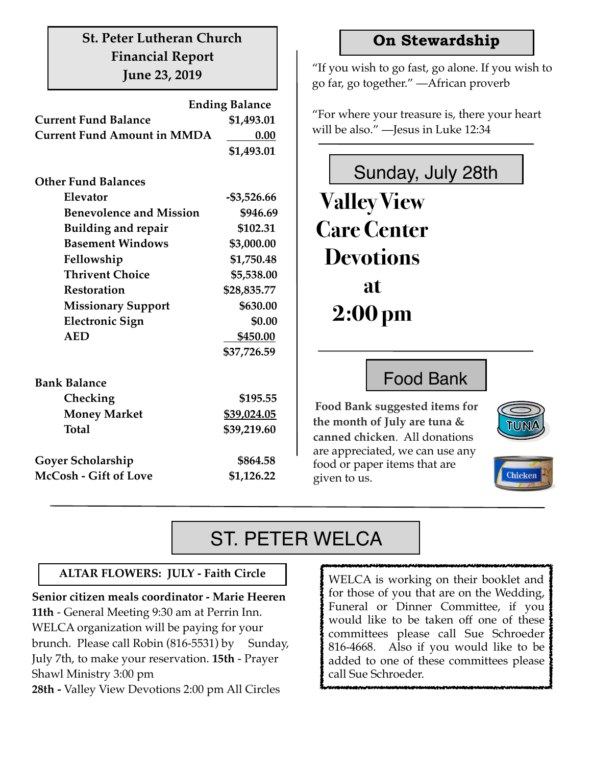#### **St. Peter Lutheran Church Financial Report June 23, 2019**

|                                    | <b>Ending Balance</b> |  |  |  |  |  |  |  |
|------------------------------------|-----------------------|--|--|--|--|--|--|--|
| <b>Current Fund Balance</b>        | \$1,493.01            |  |  |  |  |  |  |  |
| <b>Current Fund Amount in MMDA</b> | 0.00                  |  |  |  |  |  |  |  |
|                                    | \$1,493.01            |  |  |  |  |  |  |  |
|                                    |                       |  |  |  |  |  |  |  |
| <b>Other Fund Balances</b>         |                       |  |  |  |  |  |  |  |
| Elevator                           | $-$ \$3,526.66        |  |  |  |  |  |  |  |
| <b>Benevolence and Mission</b>     | \$946.69              |  |  |  |  |  |  |  |
| <b>Building and repair</b>         | \$102.31              |  |  |  |  |  |  |  |
| <b>Basement Windows</b>            | \$3,000.00            |  |  |  |  |  |  |  |
| Fellowship                         | \$1,750.48            |  |  |  |  |  |  |  |
| <b>Thrivent Choice</b>             | \$5,538.00            |  |  |  |  |  |  |  |
| <b>Restoration</b>                 | \$28,835.77           |  |  |  |  |  |  |  |
| <b>Missionary Support</b>          | \$630.00              |  |  |  |  |  |  |  |
| <b>Electronic Sign</b>             | \$0.00                |  |  |  |  |  |  |  |
| <b>AED</b>                         | \$450.00              |  |  |  |  |  |  |  |
|                                    | \$37,726.59           |  |  |  |  |  |  |  |
| <b>Bank Balance</b>                |                       |  |  |  |  |  |  |  |
| Checking                           | \$195.55              |  |  |  |  |  |  |  |
| <b>Money Market</b>                | \$39,024.05           |  |  |  |  |  |  |  |
| <b>Total</b>                       | \$39,219.60           |  |  |  |  |  |  |  |
| <b>Goyer Scholarship</b>           | \$864.58              |  |  |  |  |  |  |  |
| McCosh - Gift of Love              | \$1,126.22            |  |  |  |  |  |  |  |

#### **On Stewardship**

"If you wish to go fast, go alone. If you wish to go far, go together." ―African proverb

"For where your treasure is, there your heart will be also." ―Jesus in Luke 12:34



Food Bank

**Food Bank suggested items for the month of July are tuna & canned chicken**. All donations are appreciated, we can use any food or paper items that are given to us.



## Chicken

## ST. PETER WELCA

#### **ALTAR FLOWERS: JULY - Faith Circle**

**Senior citizen meals coordinator - Marie Heeren 11th** - General Meeting 9:30 am at Perrin Inn. WELCA organization will be paying for your brunch. Please call Robin (816-5531) by Sunday, July 7th, to make your reservation. **15th** - Prayer Shawl Ministry 3:00 pm **28th -** Valley View Devotions 2:00 pm All Circles

WELCA is working on their booklet and for those of you that are on the Wedding, Funeral or Dinner Committee, if you would like to be taken off one of these committees please call Sue Schroeder 816-4668. Also if you would like to be added to one of these committees please call Sue Schroeder.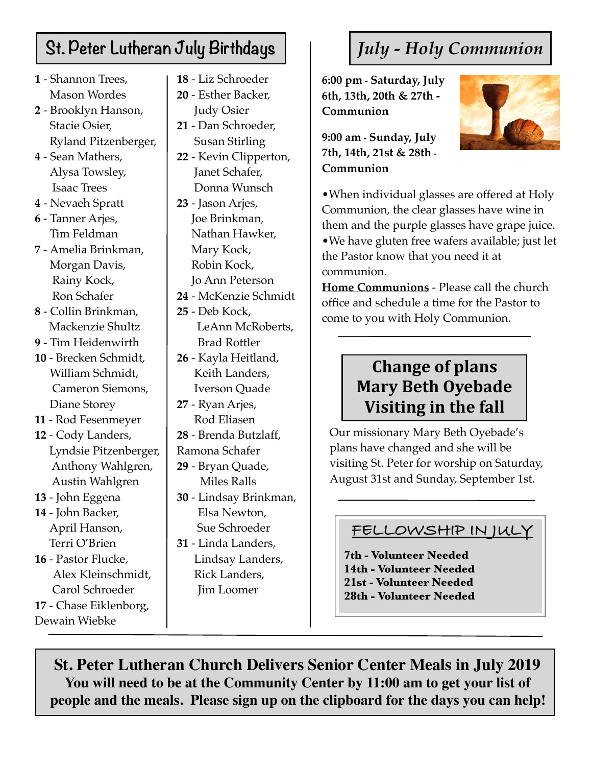## **St. Peter Lutheran July Birthdays**

- **1** Shannon Trees, Mason Wordes
- **2** Brooklyn Hanson, Stacie Osier, Ryland Pitzenberger,
- **4** Sean Mathers, Alysa Towsley, Isaac Trees
- **4** Nevaeh Spratt
- **6** Tanner Arjes, Tim Feldman
- **7** Amelia Brinkman, Morgan Davis, Rainy Kock, Ron Schafer
- **8** Collin Brinkman, Mackenzie Shultz
- **9** Tim Heidenwirth
- **10** Brecken Schmidt, William Schmidt, Cameron Siemons, Diane Storey
- **11** Rod Fesenmeyer
- **12** Cody Landers, Lyndsie Pitzenberger, Anthony Wahlgren, Austin Wahlgren
- **13** John Eggena
- **14** John Backer, April Hanson,
- Terri O'Brien **16** - Pastor Flucke, Alex Kleinschmidt, Carol Schroeder **17** - Chase Eiklenborg, Dewain Wiebke
- **18** Liz Schroeder
- **20** Esther Backer, Judy Osier
- **21** Dan Schroeder, Susan Stirling
- **22** Kevin Clipperton, Janet Schafer, Donna Wunsch
- **23** Jason Arjes, Joe Brinkman, Nathan Hawker, Mary Kock, Robin Kock, Jo Ann Peterson
- **24** McKenzie Schmidt
- **25** Deb Kock, LeAnn McRoberts, Brad Rottler
- **26** Kayla Heitland, Keith Landers, Iverson Quade
- **27** Ryan Arjes, Rod Eliasen
- **28** Brenda Butzlaff,
- Ramona Schafer
- **29** Bryan Quade, Miles Ralls
- **30** Lindsay Brinkman, Elsa Newton, Sue Schroeder
- **31** Linda Landers, Lindsay Landers, Rick Landers, Jim Loomer

## *July - Holy Communion*

**6:00 pm - Saturday, July 6th, 13th, 20th & 27th - Communion** 

**9:00 am - Sunday, July 7th, 14th, 21st & 28th - Communion**



•When individual glasses are offered at Holy Communion, the clear glasses have wine in them and the purple glasses have grape juice. •We have gluten free wafers available; just let the Pastor know that you need it at communion.

**Home Communions** - Please call the church office and schedule a time for the Pastor to come to you with Holy Communion.

### **Change of plans Mary Beth Oyebade Visiting in the fall**

Our missionary Mary Beth Oyebade's plans have changed and she will be visiting St. Peter for worship on Saturday, August 31st and Sunday, September 1st.

#### **FELLOWSHIP IN JULY**

**7th - Volunteer Needed 14th - Volunteer Needed 21st - Volunteer Needed 28th - Volunteer Needed**

**St. Peter Lutheran Church Delivers Senior Center Meals in July 2019 You will need to be at the Community Center by 11:00 am to get your list of people and the meals. Please sign up on the clipboard for the days you can help!**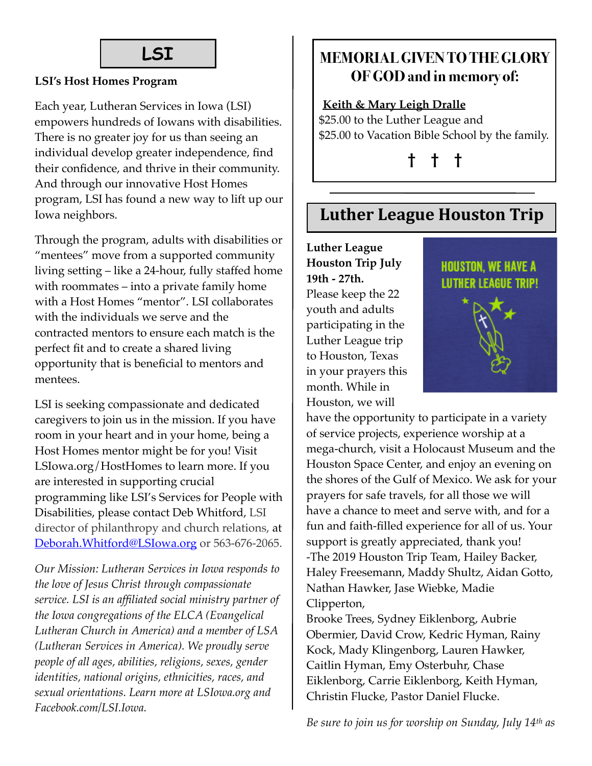## **LSI**

#### **LSI's Host Homes Program**

Each year, Lutheran Services in Iowa (LSI) empowers hundreds of Iowans with disabilities. There is no greater joy for us than seeing an individual develop greater independence, find their confidence, and thrive in their community. And through our innovative Host Homes program, LSI has found a new way to lift up our Iowa neighbors.

Through the program, adults with disabilities or "mentees" move from a supported community living setting – like a 24-hour, fully staffed home with roommates – into a private family home with a Host Homes "mentor". LSI collaborates with the individuals we serve and the contracted mentors to ensure each match is the perfect fit and to create a shared living opportunity that is beneficial to mentors and mentees.

LSI is seeking compassionate and dedicated caregivers to join us in the mission. If you have room in your heart and in your home, being a Host Homes mentor might be for you! Visit LSIowa.org/HostHomes to learn more. If you are interested in supporting crucial programming like LSI's Services for People with Disabilities, please contact Deb Whitford, LSI director of philanthropy and church relations, at [Deborah.Whitford@LSIowa.org](mailto:Deborah.Whitford@LSIowa.org) or 563-676-2065.

*Our Mission: Lutheran Services in Iowa responds to the love of Jesus Christ through compassionate service. LSI is an affiliated social ministry partner of the Iowa congregations of the ELCA (Evangelical Lutheran Church in America) and a member of LSA (Lutheran Services in America). We proudly serve people of all ages, abilities, religions, sexes, gender identities, national origins, ethnicities, races, and sexual orientations. Learn more at LSIowa.org and Facebook.com/LSI.Iowa.* 

#### **MEMORIAL GIVEN TO THE GLORY OF GOD and in memory of:**

#### **Keith & Mary Leigh Dralle**

\$25.00 to the Luther League and \$25.00 to Vacation Bible School by the family.

**† † †** 

#### **Luther League Houston Trip**

**Luther League Houston Trip July 19th - 27th.**  Please keep the 22 youth and adults participating in the Luther League trip to Houston, Texas in your prayers this month. While in Houston, we will



have the opportunity to participate in a variety of service projects, experience worship at a mega-church, visit a Holocaust Museum and the Houston Space Center, and enjoy an evening on the shores of the Gulf of Mexico. We ask for your prayers for safe travels, for all those we will have a chance to meet and serve with, and for a fun and faith-filled experience for all of us. Your support is greatly appreciated, thank you! -The 2019 Houston Trip Team, Hailey Backer, Haley Freesemann, Maddy Shultz, Aidan Gotto, Nathan Hawker, Jase Wiebke, Madie Clipperton,

Brooke Trees, Sydney Eiklenborg, Aubrie Obermier, David Crow, Kedric Hyman, Rainy Kock, Mady Klingenborg, Lauren Hawker, Caitlin Hyman, Emy Osterbuhr, Chase Eiklenborg, Carrie Eiklenborg, Keith Hyman, Christin Flucke, Pastor Daniel Flucke.

*Be sure to join us for worship on Sunday, July 14th as*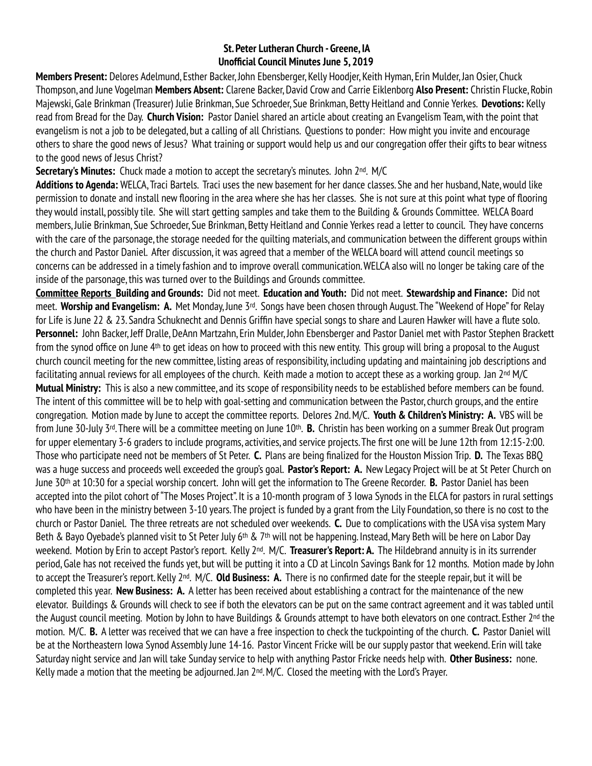#### **St. Peter Lutheran Church - Greene, IA Unofficial Council Minutes June 5, 2019**

**Members Present:** Delores Adelmund, Esther Backer, John Ebensberger, Kelly Hoodjer, Keith Hyman, Erin Mulder, Jan Osier, Chuck Thompson, and June Vogelman **Members Absent:** Clarene Backer, David Crow and Carrie Eiklenborg **Also Present:** Christin Flucke, Robin Majewski, Gale Brinkman (Treasurer) Julie Brinkman, Sue Schroeder, Sue Brinkman, Betty Heitland and Connie Yerkes. **Devotions:** Kelly read from Bread for the Day. **Church Vision:** Pastor Daniel shared an article about creating an Evangelism Team, with the point that evangelism is not a job to be delegated, but a calling of all Christians. Questions to ponder: How might you invite and encourage others to share the good news of Jesus? What training or support would help us and our congregation offer their gifts to bear witness to the good news of Jesus Christ?

**Secretary's Minutes:** Chuck made a motion to accept the secretary's minutes. John 2<sup>nd</sup>. M/C

**Additions to Agenda:** WELCA, Traci Bartels. Traci uses the new basement for her dance classes. She and her husband, Nate, would like permission to donate and install new flooring in the area where she has her classes. She is not sure at this point what type of flooring they would install, possibly tile. She will start getting samples and take them to the Building & Grounds Committee. WELCA Board members, Julie Brinkman, Sue Schroeder, Sue Brinkman, Betty Heitland and Connie Yerkes read a letter to council. They have concerns with the care of the parsonage, the storage needed for the quilting materials, and communication between the different groups within the church and Pastor Daniel. After discussion, it was agreed that a member of the WELCA board will attend council meetings so concerns can be addressed in a timely fashion and to improve overall communication. WELCA also will no longer be taking care of the inside of the parsonage, this was turned over to the Buildings and Grounds committee.

**Committee Reports Building and Grounds:** Did not meet. **Education and Youth:** Did not meet. **Stewardship and Finance:** Did not meet. **Worship and Evangelism: A.** Met Monday, June 3rd. Songs have been chosen through August. The "Weekend of Hope" for Relay for Life is June 22 & 23. Sandra Schuknecht and Dennis Griffin have special songs to share and Lauren Hawker will have a flute solo. **Personnel:** John Backer, Jeff Dralle, DeAnn Martzahn, Erin Mulder, John Ebensberger and Pastor Daniel met with Pastor Stephen Brackett from the synod office on June 4th to get ideas on how to proceed with this new entity. This group will bring a proposal to the August church council meeting for the new committee, listing areas of responsibility, including updating and maintaining job descriptions and facilitating annual reviews for all employees of the church. Keith made a motion to accept these as a working group. Jan 2nd M/C **Mutual Ministry:** This is also a new committee, and its scope of responsibility needs to be established before members can be found. The intent of this committee will be to help with goal-setting and communication between the Pastor, church groups, and the entire congregation. Motion made by June to accept the committee reports. Delores 2nd. M/C. **Youth & Children's Ministry: A.** VBS will be from June 30-July 3rd. There will be a committee meeting on June 10th. **B.** Christin has been working on a summer Break Out program for upper elementary 3-6 graders to include programs, activities, and service projects. The first one will be June 12th from 12:15-2:00. Those who participate need not be members of St Peter. **C.** Plans are being finalized for the Houston Mission Trip. **D.** The Texas BBQ was a huge success and proceeds well exceeded the group's goal. **Pastor's Report: A.** New Legacy Project will be at St Peter Church on June 30th at 10:30 for a special worship concert. John will get the information to The Greene Recorder. **B.** Pastor Daniel has been accepted into the pilot cohort of "The Moses Project". It is a 10-month program of 3 Iowa Synods in the ELCA for pastors in rural settings who have been in the ministry between 3-10 years. The project is funded by a grant from the Lily Foundation, so there is no cost to the church or Pastor Daniel. The three retreats are not scheduled over weekends. **C.** Due to complications with the USA visa system Mary Beth & Bayo Oyebade's planned visit to St Peter July 6<sup>th</sup> & 7<sup>th</sup> will not be happening. Instead, Mary Beth will be here on Labor Day weekend. Motion by Erin to accept Pastor's report. Kelly 2nd. M/C. **Treasurer's Report: A.** The Hildebrand annuity is in its surrender period, Gale has not received the funds yet, but will be putting it into a CD at Lincoln Savings Bank for 12 months. Motion made by John to accept the Treasurer's report. Kelly 2nd. M/C. **Old Business: A.** There is no confirmed date for the steeple repair, but it will be completed this year. **New Business: A.** A letter has been received about establishing a contract for the maintenance of the new elevator. Buildings & Grounds will check to see if both the elevators can be put on the same contract agreement and it was tabled until the August council meeting. Motion by John to have Buildings & Grounds attempt to have both elevators on one contract. Esther 2<sup>nd</sup> the motion. M/C. **B.** A letter was received that we can have a free inspection to check the tuckpointing of the church. **C.** Pastor Daniel will be at the Northeastern Iowa Synod Assembly June 14-16. Pastor Vincent Fricke will be our supply pastor that weekend. Erin will take Saturday night service and Jan will take Sunday service to help with anything Pastor Fricke needs help with. **Other Business:** none. Kelly made a motion that the meeting be adjourned. Jan 2nd. M/C. Closed the meeting with the Lord's Prayer.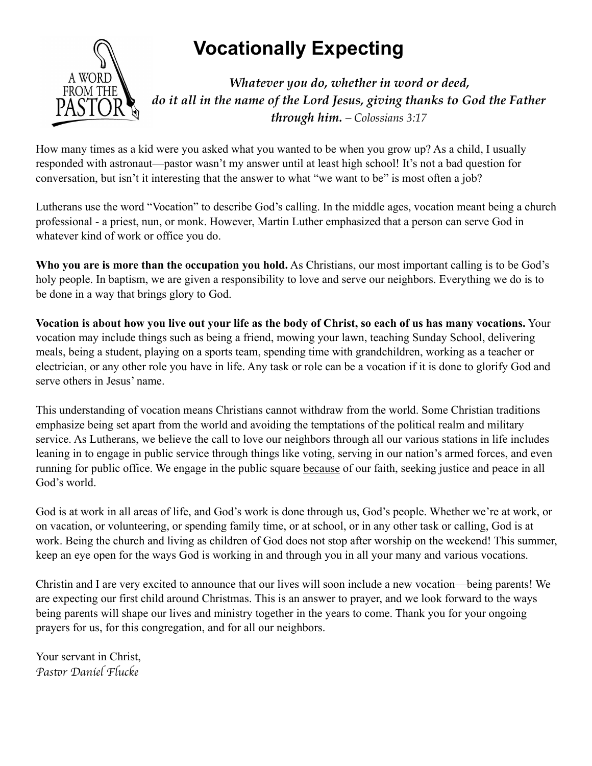# **Solutionally Expecting A WORD**



*Whatever you do, whether in word or deed, do it all in the name of the Lord Jesus, giving thanks to God the Father through him. – Colossians 3:17*

How many times as a kid were you asked what you wanted to be when you grow up? As a child, I usually responded with astronaut—pastor wasn't my answer until at least high school! It's not a bad question for conversation, but isn't it interesting that the answer to what "we want to be" is most often a job?

Lutherans use the word "Vocation" to describe God's calling. In the middle ages, vocation meant being a church professional - a priest, nun, or monk. However, Martin Luther emphasized that a person can serve God in whatever kind of work or office you do.

**Who you are is more than the occupation you hold.** As Christians, our most important calling is to be God's holy people. In baptism, we are given a responsibility to love and serve our neighbors. Everything we do is to be done in a way that brings glory to God.

**Vocation is about how you live out your life as the body of Christ, so each of us has many vocations.** Your vocation may include things such as being a friend, mowing your lawn, teaching Sunday School, delivering meals, being a student, playing on a sports team, spending time with grandchildren, working as a teacher or electrician, or any other role you have in life. Any task or role can be a vocation if it is done to glorify God and serve others in Jesus' name.

This understanding of vocation means Christians cannot withdraw from the world. Some Christian traditions emphasize being set apart from the world and avoiding the temptations of the political realm and military service. As Lutherans, we believe the call to love our neighbors through all our various stations in life includes leaning in to engage in public service through things like voting, serving in our nation's armed forces, and even running for public office. We engage in the public square because of our faith, seeking justice and peace in all God's world.

God is at work in all areas of life, and God's work is done through us, God's people. Whether we're at work, or on vacation, or volunteering, or spending family time, or at school, or in any other task or calling, God is at work. Being the church and living as children of God does not stop after worship on the weekend! This summer, keep an eye open for the ways God is working in and through you in all your many and various vocations.

Christin and I are very excited to announce that our lives will soon include a new vocation—being parents! We are expecting our first child around Christmas. This is an answer to prayer, and we look forward to the ways being parents will shape our lives and ministry together in the years to come. Thank you for your ongoing prayers for us, for this congregation, and for all our neighbors.

Your servant in Christ, *Pas*!*r Daniel Flucke*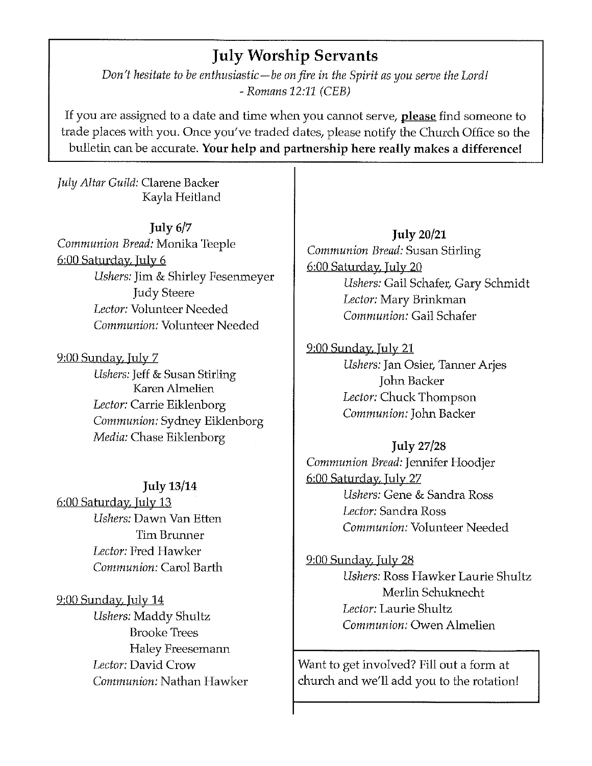#### **July Worship Servants**

Don't hesitate to be enthusiastic—be on fire in the Spirit as you serve the Lord!  $-$  Romans 12:11 (CEB)

If you are assigned to a date and time when you cannot serve, please find someone to trade places with you. Once you've traded dates, please notify the Church Office so the bulletin can be accurate. Your help and partnership here really makes a difference!

July Altar Guild: Clarene Backer Kayla Heitland

July  $6/7$ Communion Bread: Monika Teeple 6:00 Saturday, July 6 Ushers: Jim & Shirley Fesenmeyer **Judy Steere** Lector: Volunteer Needed Communion: Volunteer Needed

9:00 Sunday, July 7 Ushers: Jeff & Susan Stirling Karen Almelien Lector: Carrie Eiklenborg Communion: Sydney Eiklenborg Media: Chase Eiklenborg

**July 13/14** 6:00 Saturday, July 13 Ushers: Dawn Van Etten Tim Brunner Lector: Fred Hawker Communion: Carol Barth

<u>9:00 Sunday, July 14</u> Ushers: Maddy Shultz **Brooke Trees** Haley Freesemann Lector: David Crow Communion: Nathan Hawker

**July 20/21** Communion Bread: Susan Stirling 6:00 Saturday, July 20 Ushers: Gail Schafer, Gary Schmidt Lector: Mary Brinkman Communion: Gail Schafer

9:00 Sunday, July 21 Ushers: Jan Osier, Tanner Arjes John Backer Lector: Chuck Thompson Communion: John Backer

**July 27/28** Communion Bread: Jennifer Hoodjer 6:00 Saturday, July 27 Ushers: Gene & Sandra Ross Lector: Sandra Ross Communion: Volunteer Needed

9:00 Sunday, July 28 Ushers: Ross Hawker Laurie Shultz Merlin Schuknecht Lector: Laurie Shultz Communion: Owen Almelien

Want to get involved? Fill out a form at church and we'll add you to the rotation!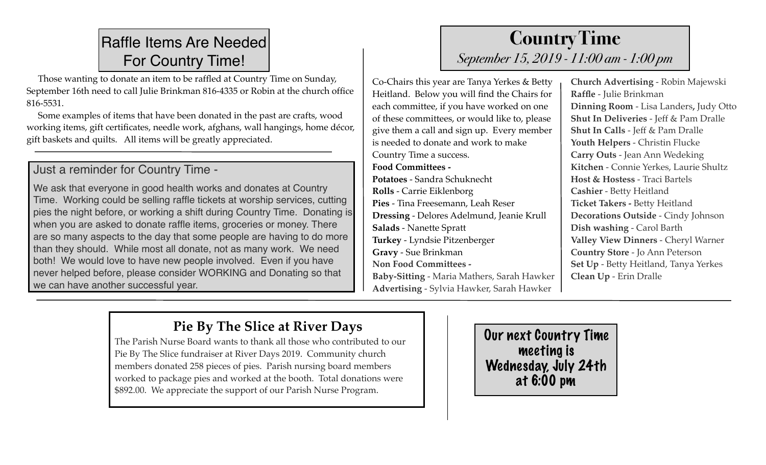## Raffle Items Are Needed For Country Time!

 Those wanting to donate an item to be raffled at Country Time on Sunday, September 16th need to call Julie Brinkman 816-4335 or Robin at the church office 816-5531.

 Some examples of items that have been donated in the past are crafts, wood working items, gift certificates, needle work, afghans, wall hangings, home décor, gift baskets and quilts. All items will be greatly appreciated.

#### Just a reminder for Country Time -

We ask that everyone in good health works and donates at Country Time. Working could be selling raffle tickets at worship services, cutting pies the night before, or working a shift during Country Time. Donating is when you are asked to donate raffle items, groceries or money. There are so many aspects to the day that some people are having to do more than they should. While most all donate, not as many work. We need both! We would love to have new people involved. Even if you have never helped before, please consider WORKING and Donating so that we can have another successful year.

## **Country Time**  *September 15, 2019 - 11:00 am - 1:00 pm*

Co-Chairs this year are Tanya Yerkes & Betty Heitland. Below you will find the Chairs for each committee, if you have worked on one of these committees, or would like to, please give them a call and sign up. Every member is needed to donate and work to make Country Time a success. **Food Committees - Potatoes** - Sandra Schuknecht **Rolls** - Carrie Eiklenborg

**Pies** - Tina Freesemann, Leah Reser **Dressing** - Delores Adelmund, Jeanie Krull **Salads** - Nanette Spratt **Turkey** - Lyndsie Pitzenberger **Gravy** - Sue Brinkman **Non Food Committees - Baby-Sitting** - Maria Mathers, Sarah Hawker **Advertising** - Sylvia Hawker, Sarah Hawker

**Church Advertising** - Robin Majewski **Raffle** - Julie Brinkman **Dinning Room** - Lisa Landers**,** Judy Otto **Shut In Deliveries** - Jeff & Pam Dralle **Shut In Calls** - Jeff & Pam Dralle **Youth Helpers** - Christin Flucke **Carry Outs** - Jean Ann Wedeking **Kitchen** - Connie Yerkes, Laurie Shultz **Host & Hostess** - Traci Bartels **Cashier** - Betty Heitland **Ticket Takers -** Betty Heitland **Decorations Outside** - Cindy Johnson **Dish washing** - Carol Barth **Valley View Dinners** - Cheryl Warner **Country Store** - Jo Ann Peterson **Set Up** - Betty Heitland, Tanya Yerkes **Clean Up** - Erin Dralle

## **Pie By The Slice at River Days**

The Parish Nurse Board wants to thank all those who contributed to our Pie By The Slice fundraiser at River Days 2019. Community church members donated 258 pieces of pies. Parish nursing board members worked to package pies and worked at the booth. Total donations were \$892.00. We appreciate the support of our Parish Nurse Program.

Our next Country Time meeting is Wednesday, July 24th at 6:00 pm